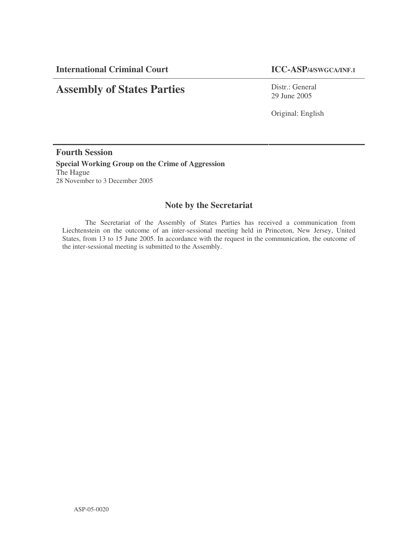**International Criminal Court ICC-ASP/4/SWGCA/INF.1**

# **Assembly of States Parties**

Distr.: General 29 June 2005

Original: English

**Fourth Session Special Working Group on the Crime of Aggression** The Hague 28 November to 3 December 2005

# **Note by the Secretariat**

The Secretariat of the Assembly of States Parties has received a communication from Liechtenstein on the outcome of an inter-sessional meeting held in Princeton, New Jersey, United States, from 13 to 15 June 2005. In accordance with the request in the communication, the outcome of the inter-sessional meeting is submitted to the Assembly.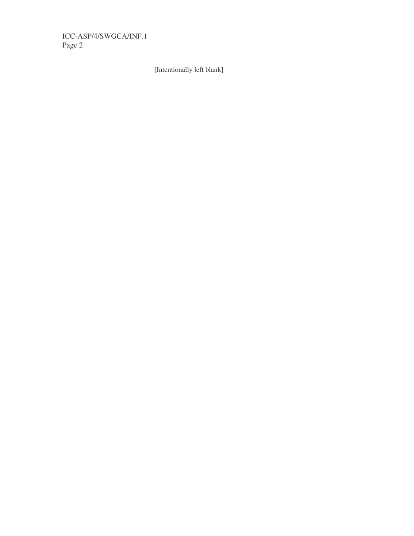[Intentionally left blank]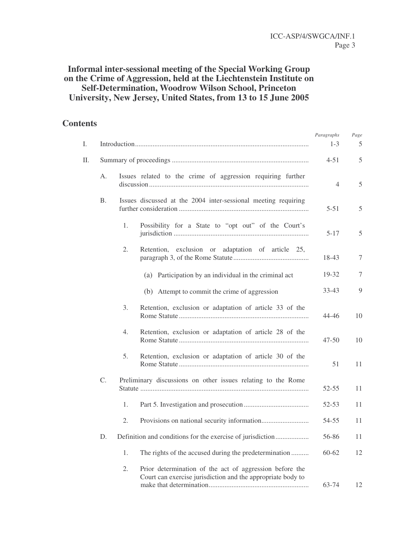# **Informal inter-sessional meeting of the Special Working Group on the Crime of Aggression, held at the Liechtenstein Institute on Self-Determination, Woodrow Wilson School, Princeton University, New Jersey, United States, from 13 to 15 June 2005**

# **Contents**

| I. |                 |    |                                                                                                                        | Paragraphs<br>$1 - 3$ | Page<br>5 |
|----|-----------------|----|------------------------------------------------------------------------------------------------------------------------|-----------------------|-----------|
|    |                 |    |                                                                                                                        |                       |           |
| П. |                 |    |                                                                                                                        | $4 - 51$              | 5         |
|    | A.              |    | Issues related to the crime of aggression requiring further                                                            | $\overline{4}$        | 5         |
|    | <b>B.</b>       |    | Issues discussed at the 2004 inter-sessional meeting requiring                                                         | $5 - 51$              | 5         |
|    |                 | 1. | Possibility for a State to "opt out" of the Court's                                                                    | $5 - 17$              | 5         |
|    |                 | 2. | Retention, exclusion or adaptation of article 25,                                                                      | 18-43                 | 7         |
|    |                 |    | (a) Participation by an individual in the criminal act                                                                 | 19-32                 | 7         |
|    |                 |    | (b) Attempt to commit the crime of aggression                                                                          | $33 - 43$             | 9         |
|    |                 | 3. | Retention, exclusion or adaptation of article 33 of the                                                                | 44-46                 | 10        |
|    |                 | 4. | Retention, exclusion or adaptation of article 28 of the                                                                | $47 - 50$             | 10        |
|    |                 | 5. | Retention, exclusion or adaptation of article 30 of the                                                                | 51                    | 11        |
|    | $\mathcal{C}$ . |    | Preliminary discussions on other issues relating to the Rome                                                           | 52-55                 | 11        |
|    |                 | 1. |                                                                                                                        | 52-53                 | 11        |
|    |                 | 2. |                                                                                                                        | 54-55                 | 11        |
|    | D.              |    |                                                                                                                        | 56-86                 | 11        |
|    |                 | 1. | The rights of the accused during the predetermination                                                                  | $60 - 62$             | 12        |
|    |                 | 2. | Prior determination of the act of aggression before the<br>Court can exercise jurisdiction and the appropriate body to | 63-74                 | 12        |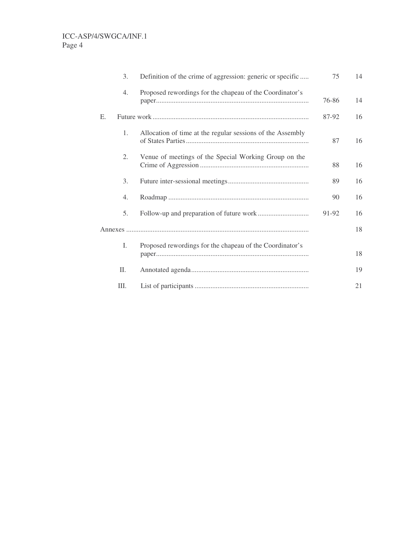|    | 3. | Definition of the crime of aggression: generic or specific | 75    | 14 |
|----|----|------------------------------------------------------------|-------|----|
|    | 4. | Proposed rewordings for the chapeau of the Coordinator's   | 76-86 | 14 |
| E. |    |                                                            | 87-92 | 16 |
|    | 1. | Allocation of time at the regular sessions of the Assembly | 87    | 16 |
|    | 2. | Venue of meetings of the Special Working Group on the      | 88    | 16 |
|    | 3. |                                                            | 89    | 16 |
|    | 4. |                                                            | 90    | 16 |
|    | 5. |                                                            | 91-92 | 16 |
|    |    |                                                            |       | 18 |
|    | L. | Proposed rewordings for the chapeau of the Coordinator's   |       | 18 |
|    | П. |                                                            |       | 19 |
|    | Ш. |                                                            |       | 21 |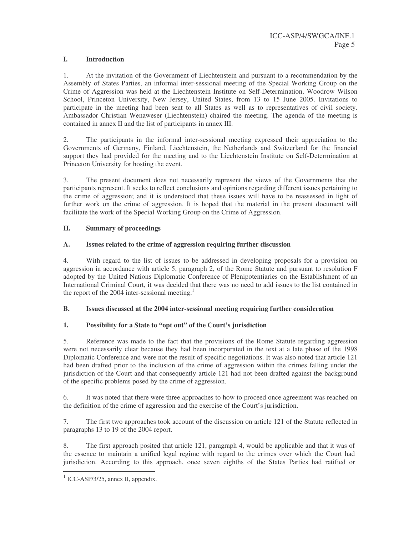# **I. Introduction**

1. At the invitation of the Government of Liechtenstein and pursuant to a recommendation by the Assembly of States Parties, an informal inter-sessional meeting of the Special Working Group on the Crime of Aggression was held at the Liechtenstein Institute on Self-Determination, Woodrow Wilson School, Princeton University, New Jersey, United States, from 13 to 15 June 2005. Invitations to participate in the meeting had been sent to all States as well as to representatives of civil society. Ambassador Christian Wenaweser (Liechtenstein) chaired the meeting. The agenda of the meeting is contained in annex II and the list of participants in annex III.

2. The participants in the informal inter-sessional meeting expressed their appreciation to the Governments of Germany, Finland, Liechtenstein, the Netherlands and Switzerland for the financial support they had provided for the meeting and to the Liechtenstein Institute on Self-Determination at Princeton University for hosting the event.

3. The present document does not necessarily represent the views of the Governments that the participants represent. It seeks to reflect conclusions and opinions regarding different issues pertaining to the crime of aggression; and it is understood that these issues will have to be reassessed in light of further work on the crime of aggression. It is hoped that the material in the present document will facilitate the work of the Special Working Group on the Crime of Aggression.

# **II. Summary of proceedings**

# **A. Issues related to the crime of aggression requiring further discussion**

4. With regard to the list of issues to be addressed in developing proposals for a provision on aggression in accordance with article 5, paragraph 2, of the Rome Statute and pursuant to resolution F adopted by the United Nations Diplomatic Conference of Plenipotentiaries on the Establishment of an International Criminal Court, it was decided that there was no need to add issues to the list contained in the report of the 2004 inter-sessional meeting.<sup>1</sup>

# **B. Issues discussed at the 2004 inter-sessional meeting requiring further consideration**

# **1. Possibility for a State to "opt out" of the Court's jurisdiction**

5. Reference was made to the fact that the provisions of the Rome Statute regarding aggression were not necessarily clear because they had been incorporated in the text at a late phase of the 1998 Diplomatic Conference and were not the result of specific negotiations. It was also noted that article 121 had been drafted prior to the inclusion of the crime of aggression within the crimes falling under the jurisdiction of the Court and that consequently article 121 had not been drafted against the background of the specific problems posed by the crime of aggression.

6. It was noted that there were three approaches to how to proceed once agreement was reached on the definition of the crime of aggression and the exercise of the Court's jurisdiction.

7. The first two approaches took account of the discussion on article 121 of the Statute reflected in paragraphs 13 to 19 of the 2004 report.

8. The first approach posited that article 121, paragraph 4, would be applicable and that it was of the essence to maintain a unified legal regime with regard to the crimes over which the Court had jurisdiction. According to this approach, once seven eighths of the States Parties had ratified or

<sup>&</sup>lt;sup>1</sup> ICC-ASP/3/25, annex II, appendix.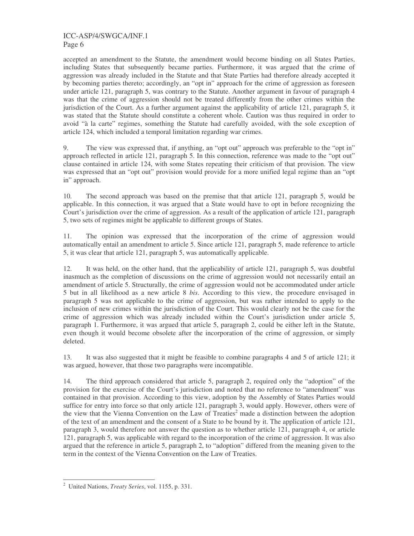accepted an amendment to the Statute, the amendment would become binding on all States Parties, including States that subsequently became parties. Furthermore, it was argued that the crime of aggression was already included in the Statute and that State Parties had therefore already accepted it by becoming parties thereto; accordingly, an "opt in" approach for the crime of aggression as foreseen under article 121, paragraph 5, was contrary to the Statute. Another argument in favour of paragraph 4 was that the crime of aggression should not be treated differently from the other crimes within the jurisdiction of the Court. As a further argument against the applicability of article 121, paragraph 5, it was stated that the Statute should constitute a coherent whole. Caution was thus required in order to avoid "à la carte" regimes, something the Statute had carefully avoided, with the sole exception of article 124, which included a temporal limitation regarding war crimes.

9. The view was expressed that, if anything, an "opt out" approach was preferable to the "opt in" approach reflected in article 121, paragraph 5. In this connection, reference was made to the "opt out" clause contained in article 124, with some States repeating their criticism of that provision. The view was expressed that an "opt out" provision would provide for a more unified legal regime than an "opt in" approach.

10. The second approach was based on the premise that that article 121, paragraph 5, would be applicable. In this connection, it was argued that a State would have to opt in before recognizing the Court's jurisdiction over the crime of aggression. As a result of the application of article 121, paragraph 5, two sets of regimes might be applicable to different groups of States.

11. The opinion was expressed that the incorporation of the crime of aggression would automatically entail an amendment to article 5. Since article 121, paragraph 5, made reference to article 5, it was clear that article 121, paragraph 5, was automatically applicable.

12. It was held, on the other hand, that the applicability of article 121, paragraph 5, was doubtful inasmuch as the completion of discussions on the crime of aggression would not necessarily entail an amendment of article 5. Structurally, the crime of aggression would not be accommodated under article 5 but in all likelihood as a new article 8 *bis*. According to this view, the procedure envisaged in paragraph 5 was not applicable to the crime of aggression, but was rather intended to apply to the inclusion of new crimes within the jurisdiction of the Court. This would clearly not be the case for the crime of aggression which was already included within the Court's jurisdiction under article 5, paragraph 1. Furthermore, it was argued that article 5, paragraph 2, could be either left in the Statute, even though it would become obsolete after the incorporation of the crime of aggression, or simply deleted.

13. It was also suggested that it might be feasible to combine paragraphs 4 and 5 of article 121; it was argued, however, that those two paragraphs were incompatible.

14. The third approach considered that article 5, paragraph 2, required only the "adoption" of the provision for the exercise of the Court's jurisdiction and noted that no reference to "amendment" was contained in that provision. According to this view, adoption by the Assembly of States Parties would suffice for entry into force so that only article 121, paragraph 3, would apply. However, others were of the view that the Vienna Convention on the Law of Treaties <sup>2</sup> made a distinction between the adoption of the text of an amendment and the consent of a State to be bound by it. The application of article 121, paragraph 3, would therefore not answer the question as to whether article 121, paragraph 4, or article 121, paragraph 5, was applicable with regard to the incorporation of the crime of aggression. It was also argued that the reference in article 5, paragraph 2, to "adoption" differed from the meaning given to the term in the context of the Vienna Convention on the Law of Treaties.

<sup>2</sup> United Nations, *Treaty Series*, vol. 1155, p. 331.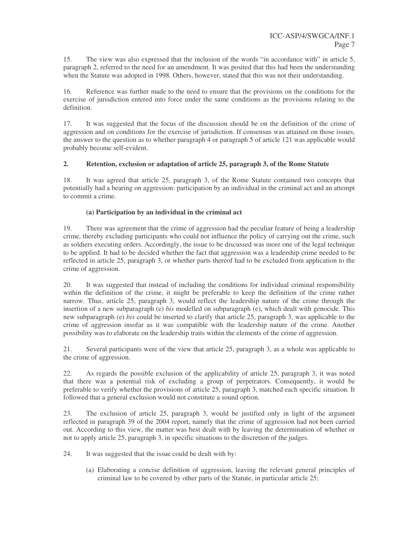15. The view was also expressed that the inclusion of the words "in accordance with" in article 5, paragraph 2, referred to the need for an amendment. It was posited that this had been the understanding when the Statute was adopted in 1998. Others, however, stated that this was not their understanding.

16. Reference was further made to the need to ensure that the provisions on the conditions for the exercise of jurisdiction entered into force under the same conditions as the provisions relating to the definition.

17. It was suggested that the focus of the discussion should be on the definition of the crime of aggression and on conditions for the exercise of jurisdiction. If consensus was attained on those issues, the answer to the question as to whether paragraph 4 or paragraph 5 of article 121 was applicable would probably become self-evident.

# **2. Retention, exclusion or adaptation of article 25, paragraph 3, of the Rome Statute**

18. It was agreed that article 25, paragraph 3, of the Rome Statute contained two concepts that potentially had a bearing on aggression: participation by an individual in the criminal act and an attempt to commit a crime.

# **(a) Participation by an individual in the criminal act**

19. There was agreement that the crime of aggression had the peculiar feature of being a leadership crime, thereby excluding participants who could not influence the policy of carrying out the crime, such as soldiers executing orders. Accordingly, the issue to be discussed was more one of the legal technique to be applied. It had to be decided whether the fact that aggression was a leadership crime needed to be reflected in article 25, paragraph 3, or whether parts thereof had to be excluded from application to the crime of aggression.

20. It was suggested that instead of including the conditions for individual criminal responsibility within the definition of the crime, it might be preferable to keep the definition of the crime rather narrow. Thus, article 25, paragraph 3, would reflect the leadership nature of the crime through the insertion of a new subparagraph (e) *bis* modelled on subparagraph (e), which dealt with genocide. This new subparagraph (e) *bis* could be inserted to clarify that article 25, paragraph 3, was applicable to the crime of aggression insofar as it was compatible with the leadership nature of the crime. Another possibility was to elaborate on the leadership traits within the elements of the crime of aggression.

21. Several participants were of the view that article 25, paragraph 3, as a whole was applicable to the crime of aggression.

22. As regards the possible exclusion of the applicability of article 25, paragraph 3, it was noted that there was a potential risk of excluding a group of perpetrators. Consequently, it would be preferable to verify whether the provisions of article 25, paragraph 3, matched each specific situation. It followed that a general exclusion would not constitute a sound option.

23. The exclusion of article 25, paragraph 3, would be justified only in light of the argument reflected in paragraph 39 of the 2004 report, namely that the crime of aggression had not been carried out. According to this view, the matter was best dealt with by leaving the determination of whether or not to apply article 25, paragraph 3, in specific situations to the discretion of the judges.

24. It was suggested that the issue could be dealt with by:

(a) Elaborating a concise definition of aggression, leaving the relevant general principles of criminal law to be covered by other parts of the Statute, in particular article 25;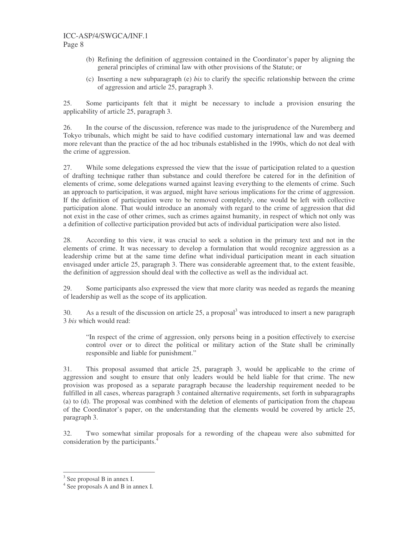- (b) Refining the definition of aggression contained in the Coordinator's paper by aligning the general principles of criminal law with other provisions of the Statute; or
- (c) Inserting a new subparagraph (e) *bis* to clarify the specific relationship between the crime of aggression and article 25, paragraph 3.

25. Some participants felt that it might be necessary to include a provision ensuring the applicability of article 25, paragraph 3.

26. In the course of the discussion, reference was made to the jurisprudence of the Nuremberg and Tokyo tribunals, which might be said to have codified customary international law and was deemed more relevant than the practice of the ad hoc tribunals established in the 1990s, which do not deal with the crime of aggression.

27. While some delegations expressed the view that the issue of participation related to a question of drafting technique rather than substance and could therefore be catered for in the definition of elements of crime, some delegations warned against leaving everything to the elements of crime. Such an approach to participation, it was argued, might have serious implications for the crime of aggression. If the definition of participation were to be removed completely, one would be left with collective participation alone. That would introduce an anomaly with regard to the crime of aggression that did not exist in the case of other crimes, such as crimes against humanity, in respect of which not only was a definition of collective participation provided but acts of individual participation were also listed.

28. According to this view, it was crucial to seek a solution in the primary text and not in the elements of crime. It was necessary to develop a formulation that would recognize aggression as a leadership crime but at the same time define what individual participation meant in each situation envisaged under article 25, paragraph 3. There was considerable agreement that, to the extent feasible, the definition of aggression should deal with the collective as well as the individual act.

29. Some participants also expressed the view that more clarity was needed as regards the meaning of leadership as well as the scope of its application.

30. As a result of the discussion on article 25, a proposal<sup>3</sup> was introduced to insert a new paragraph 3 *bis* which would read:

"In respect of the crime of aggression, only persons being in a position effectively to exercise control over or to direct the political or military action of the State shall be criminally responsible and liable for punishment."

31. This proposal assumed that article 25, paragraph 3, would be applicable to the crime of aggression and sought to ensure that only leaders would be held liable for that crime. The new provision was proposed as a separate paragraph because the leadership requirement needed to be fulfilled in all cases, whereas paragraph 3 contained alternative requirements, set forth in subparagraphs (a) to (d). The proposal was combined with the deletion of elements of participation from the chapeau of the Coordinator's paper, on the understanding that the elements would be covered by article 25, paragraph 3.

32. Two somewhat similar proposals for a rewording of the chapeau were also submitted for consideration by the participants. 4

<sup>&</sup>lt;sup>3</sup> See proposal B in annex I.

<sup>4</sup> See proposals A and B in annex I.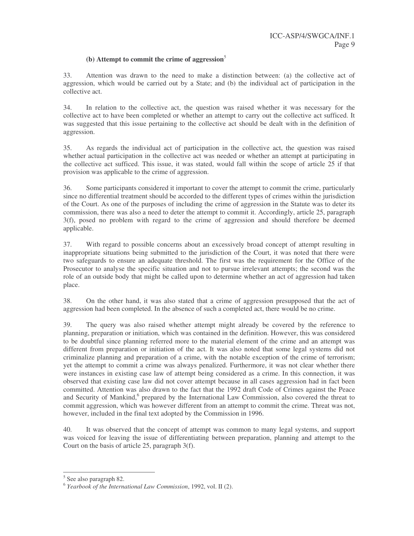# **(b) Attempt to commit the crime of aggression** 5

33. Attention was drawn to the need to make a distinction between: (a) the collective act of aggression, which would be carried out by a State; and (b) the individual act of participation in the collective act.

34. In relation to the collective act, the question was raised whether it was necessary for the collective act to have been completed or whether an attempt to carry out the collective act sufficed. It was suggested that this issue pertaining to the collective act should be dealt with in the definition of aggression.

35. As regards the individual act of participation in the collective act, the question was raised whether actual participation in the collective act was needed or whether an attempt at participating in the collective act sufficed. This issue, it was stated, would fall within the scope of article 25 if that provision was applicable to the crime of aggression.

36. Some participants considered it important to cover the attempt to commit the crime, particularly since no differential treatment should be accorded to the different types of crimes within the jurisdiction of the Court. As one of the purposes of including the crime of aggression in the Statute was to deter its commission, there was also a need to deter the attempt to commit it. Accordingly, article 25, paragraph 3(f), posed no problem with regard to the crime of aggression and should therefore be deemed applicable.

37. With regard to possible concerns about an excessively broad concept of attempt resulting in inappropriate situations being submitted to the jurisdiction of the Court, it was noted that there were two safeguards to ensure an adequate threshold. The first was the requirement for the Office of the Prosecutor to analyse the specific situation and not to pursue irrelevant attempts; the second was the role of an outside body that might be called upon to determine whether an act of aggression had taken place.

38. On the other hand, it was also stated that a crime of aggression presupposed that the act of aggression had been completed. In the absence of such a completed act, there would be no crime.

39. The query was also raised whether attempt might already be covered by the reference to planning, preparation or initiation, which was contained in the definition. However, this was considered to be doubtful since planning referred more to the material element of the crime and an attempt was different from preparation or initiation of the act. It was also noted that some legal systems did not criminalize planning and preparation of a crime, with the notable exception of the crime of terrorism; yet the attempt to commit a crime was always penalized. Furthermore, it was not clear whether there were instances in existing case law of attempt being considered as a crime. In this connection, it was observed that existing case law did not cover attempt because in all cases aggression had in fact been committed. Attention was also drawn to the fact that the 1992 draft Code of Crimes against the Peace and Security of Mankind,<sup>6</sup> prepared by the International Law Commission, also covered the threat to commit aggression, which was however different from an attempt to commit the crime. Threat was not, however, included in the final text adopted by the Commission in 1996.

40. It was observed that the concept of attempt was common to many legal systems, and support was voiced for leaving the issue of differentiating between preparation, planning and attempt to the Court on the basis of article 25, paragraph 3(f).

<sup>5</sup> See also paragraph 82.

<sup>6</sup> *Yearbook of the International Law Commission*, 1992, vol. II (2).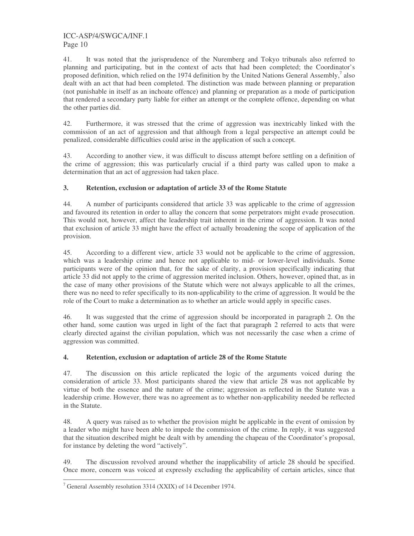41. It was noted that the jurisprudence of the Nuremberg and Tokyo tribunals also referred to planning and participating, but in the context of acts that had been completed; the Coordinator's proposed definition, which relied on the 1974 definition by the United Nations General Assembly,<sup>7</sup> also dealt with an act that had been completed. The distinction was made between planning or preparation (not punishable in itself as an inchoate offence) and planning or preparation as a mode of participation that rendered a secondary party liable for either an attempt or the complete offence, depending on what the other parties did.

42. Furthermore, it was stressed that the crime of aggression was inextricably linked with the commission of an act of aggression and that although from a legal perspective an attempt could be penalized, considerable difficulties could arise in the application of such a concept.

43. According to another view, it was difficult to discuss attempt before settling on a definition of the crime of aggression; this was particularly crucial if a third party was called upon to make a determination that an act of aggression had taken place.

# **3. Retention, exclusion or adaptation of article 33 of the Rome Statute**

44. A number of participants considered that article 33 was applicable to the crime of aggression and favoured its retention in order to allay the concern that some perpetrators might evade prosecution. This would not, however, affect the leadership trait inherent in the crime of aggression. It was noted that exclusion of article 33 might have the effect of actually broadening the scope of application of the provision.

45. According to a different view, article 33 would not be applicable to the crime of aggression, which was a leadership crime and hence not applicable to mid- or lower-level individuals. Some participants were of the opinion that, for the sake of clarity, a provision specifically indicating that article 33 did not apply to the crime of aggression merited inclusion. Others, however, opined that, as in the case of many other provisions of the Statute which were not always applicable to all the crimes, there was no need to refer specifically to its non-applicability to the crime of aggression. It would be the role of the Court to make a determination as to whether an article would apply in specific cases.

46. It was suggested that the crime of aggression should be incorporated in paragraph 2. On the other hand, some caution was urged in light of the fact that paragraph 2 referred to acts that were clearly directed against the civilian population, which was not necessarily the case when a crime of aggression was committed.

# **4. Retention, exclusion or adaptation of article 28 of the Rome Statute**

47. The discussion on this article replicated the logic of the arguments voiced during the consideration of article 33. Most participants shared the view that article 28 was not applicable by virtue of both the essence and the nature of the crime; aggression as reflected in the Statute was a leadership crime. However, there was no agreement as to whether non-applicability needed be reflected in the Statute.

48. A query was raised as to whether the provision might be applicable in the event of omission by a leader who might have been able to impede the commission of the crime. In reply, it was suggested that the situation described might be dealt with by amending the chapeau of the Coordinator's proposal, for instance by deleting the word "actively".

49. The discussion revolved around whether the inapplicability of article 28 should be specified. Once more, concern was voiced at expressly excluding the applicability of certain articles, since that

 $7$  General Assembly resolution 3314 (XXIX) of 14 December 1974.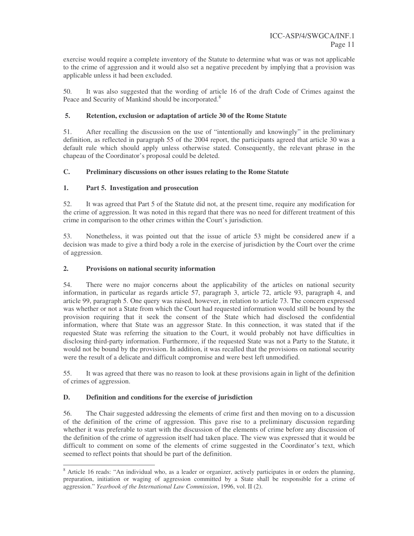exercise would require a complete inventory of the Statute to determine what was or was not applicable to the crime of aggression and it would also set a negative precedent by implying that a provision was applicable unless it had been excluded.

50. It was also suggested that the wording of article 16 of the draft Code of Crimes against the Peace and Security of Mankind should be incorporated.<sup>8</sup>

# **5. Retention, exclusion or adaptation of article 30 of the Rome Statute**

51. After recalling the discussion on the use of "intentionally and knowingly" in the preliminary definition, as reflected in paragraph 55 of the 2004 report, the participants agreed that article 30 was a default rule which should apply unless otherwise stated. Consequently, the relevant phrase in the chapeau of the Coordinator's proposal could be deleted.

# **C. Preliminary discussions on other issues relating to the Rome Statute**

# **1. Part 5. Investigation and prosecution**

52. It was agreed that Part 5 of the Statute did not, at the present time, require any modification for the crime of aggression. It was noted in this regard that there was no need for different treatment of this crime in comparison to the other crimes within the Court's jurisdiction.

53. Nonetheless, it was pointed out that the issue of article 53 might be considered anew if a decision was made to give a third body a role in the exercise of jurisdiction by the Court over the crime of aggression.

## **2. Provisions on national security information**

54. There were no major concerns about the applicability of the articles on national security information, in particular as regards article 57, paragraph 3, article 72, article 93, paragraph 4, and article 99, paragraph 5. One query was raised, however, in relation to article 73. The concern expressed was whether or not a State from which the Court had requested information would still be bound by the provision requiring that it seek the consent of the State which had disclosed the confidential information, where that State was an aggressor State. In this connection, it was stated that if the requested State was referring the situation to the Court, it would probably not have difficulties in disclosing third-party information. Furthermore, if the requested State was not a Party to the Statute, it would not be bound by the provision. In addition, it was recalled that the provisions on national security were the result of a delicate and difficult compromise and were best left unmodified.

55. It was agreed that there was no reason to look at these provisions again in light of the definition of crimes of aggression.

# **D. Definition and conditions for the exercise of jurisdiction**

56. The Chair suggested addressing the elements of crime first and then moving on to a discussion of the definition of the crime of aggression. This gave rise to a preliminary discussion regarding whether it was preferable to start with the discussion of the elements of crime before any discussion of the definition of the crime of aggression itself had taken place. The view was expressed that it would be difficult to comment on some of the elements of crime suggested in the Coordinator's text, which seemed to reflect points that should be part of the definition.

<sup>&</sup>lt;sup>8</sup> Article 16 reads: "An individual who, as a leader or organizer, actively participates in or orders the planning, preparation, initiation or waging of aggression committed by a State shall be responsible for a crime of aggression." *Yearbook of the International Law Commission*, 1996, vol. II (2).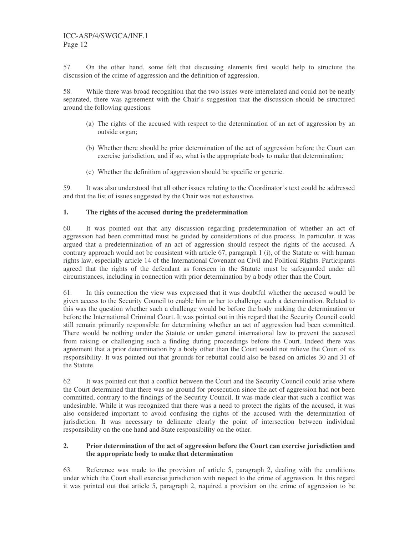57. On the other hand, some felt that discussing elements first would help to structure the discussion of the crime of aggression and the definition of aggression.

58. While there was broad recognition that the two issues were interrelated and could not be neatly separated, there was agreement with the Chair's suggestion that the discussion should be structured around the following questions:

- (a) The rights of the accused with respect to the determination of an act of aggression by an outside organ;
- (b) Whether there should be prior determination of the act of aggression before the Court can exercise jurisdiction, and if so, what is the appropriate body to make that determination;
- (c) Whether the definition of aggression should be specific or generic.

59. It was also understood that all other issues relating to the Coordinator's text could be addressed and that the list of issues suggested by the Chair was not exhaustive.

# **1. The rights of the accused during the predetermination**

60. It was pointed out that any discussion regarding predetermination of whether an act of aggression had been committed must be guided by considerations of due process. In particular, it was argued that a predetermination of an act of aggression should respect the rights of the accused. A contrary approach would not be consistent with article 67, paragraph 1 (i), of the Statute or with human rights law, especially article 14 of the International Covenant on Civil and Political Rights. Participants agreed that the rights of the defendant as foreseen in the Statute must be safeguarded under all circumstances, including in connection with prior determination by a body other than the Court.

61. In this connection the view was expressed that it was doubtful whether the accused would be given access to the Security Council to enable him or her to challenge such a determination. Related to this was the question whether such a challenge would be before the body making the determination or before the International Criminal Court. It was pointed out in this regard that the Security Council could still remain primarily responsible for determining whether an act of aggression had been committed. There would be nothing under the Statute or under general international law to prevent the accused from raising or challenging such a finding during proceedings before the Court. Indeed there was agreement that a prior determination by a body other than the Court would not relieve the Court of its responsibility. It was pointed out that grounds for rebuttal could also be based on articles 30 and 31 of the Statute.

62. It was pointed out that a conflict between the Court and the Security Council could arise where the Court determined that there was no ground for prosecution since the act of aggression had not been committed, contrary to the findings of the Security Council. It was made clear that such a conflict was undesirable. While it was recognized that there was a need to protect the rights of the accused, it was also considered important to avoid confusing the rights of the accused with the determination of jurisdiction. It was necessary to delineate clearly the point of intersection between individual responsibility on the one hand and State responsibility on the other.

### **2. Prior determination of the act of aggression before the Court can exercise jurisdiction and the appropriate body to make that determination**

63. Reference was made to the provision of article 5, paragraph 2, dealing with the conditions under which the Court shall exercise jurisdiction with respect to the crime of aggression. In this regard it was pointed out that article 5, paragraph 2, required a provision on the crime of aggression to be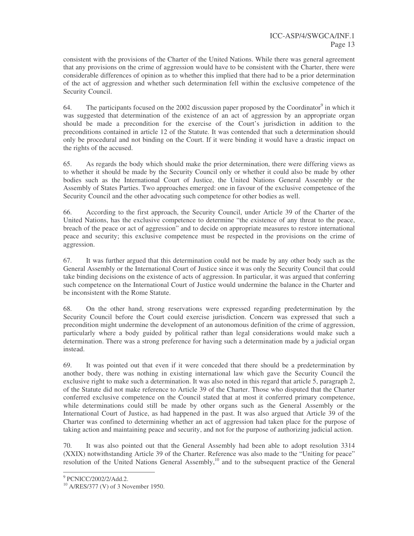consistent with the provisions of the Charter of the United Nations. While there was general agreement that any provisions on the crime of aggression would have to be consistent with the Charter, there were considerable differences of opinion as to whether this implied that there had to be a prior determination of the act of aggression and whether such determination fell within the exclusive competence of the Security Council.

64. The participants focused on the 2002 discussion paper proposed by the Coordinator<sup>9</sup> in which it was suggested that determination of the existence of an act of aggression by an appropriate organ should be made a precondition for the exercise of the Court's jurisdiction in addition to the preconditions contained in article 12 of the Statute. It was contended that such a determination should only be procedural and not binding on the Court. If it were binding it would have a drastic impact on the rights of the accused.

65. As regards the body which should make the prior determination, there were differing views as to whether it should be made by the Security Council only or whether it could also be made by other bodies such as the International Court of Justice, the United Nations General Assembly or the Assembly of States Parties. Two approaches emerged: one in favour of the exclusive competence of the Security Council and the other advocating such competence for other bodies as well.

66. According to the first approach, the Security Council, under Article 39 of the Charter of the United Nations, has the exclusive competence to determine "the existence of any threat to the peace, breach of the peace or act of aggression" and to decide on appropriate measures to restore international peace and security; this exclusive competence must be respected in the provisions on the crime of aggression.

67. It was further argued that this determination could not be made by any other body such as the General Assembly or the International Court of Justice since it was only the Security Council that could take binding decisions on the existence of acts of aggression. In particular, it was argued that conferring such competence on the International Court of Justice would undermine the balance in the Charter and be inconsistent with the Rome Statute.

68. On the other hand, strong reservations were expressed regarding predetermination by the Security Council before the Court could exercise jurisdiction. Concern was expressed that such a precondition might undermine the development of an autonomous definition of the crime of aggression, particularly where a body guided by political rather than legal considerations would make such a determination. There was a strong preference for having such a determination made by a judicial organ instead.

69. It was pointed out that even if it were conceded that there should be a predetermination by another body, there was nothing in existing international law which gave the Security Council the exclusive right to make such a determination. It was also noted in this regard that article 5, paragraph 2, of the Statute did not make reference to Article 39 of the Charter. Those who disputed that the Charter conferred exclusive competence on the Council stated that at most it conferred primary competence, while determinations could still be made by other organs such as the General Assembly or the International Court of Justice, as had happened in the past. It was also argued that Article 39 of the Charter was confined to determining whether an act of aggression had taken place for the purpose of taking action and maintaining peace and security, and not for the purpose of authorizing judicial action.

70. It was also pointed out that the General Assembly had been able to adopt resolution 3314 (XXIX) notwithstanding Article 39 of the Charter. Reference was also made to the "Uniting for peace" resolution of the United Nations General Assembly,<sup>10</sup> and to the subsequent practice of the General

<sup>&</sup>lt;sup>9</sup> PCNICC/2002/2/Add.2.

 $10$  A/RES/377 (V) of 3 November 1950.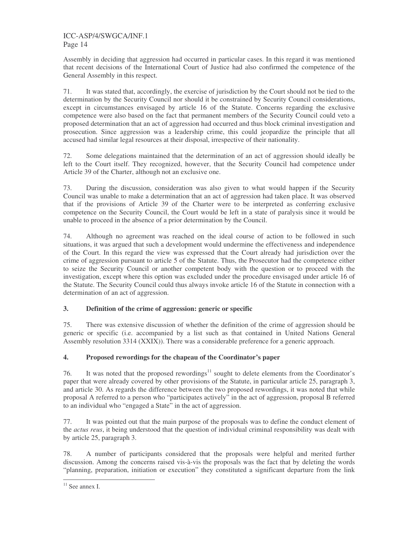Assembly in deciding that aggression had occurred in particular cases. In this regard it was mentioned that recent decisions of the International Court of Justice had also confirmed the competence of the General Assembly in this respect.

71. It was stated that, accordingly, the exercise of jurisdiction by the Court should not be tied to the determination by the Security Council nor should it be constrained by Security Council considerations, except in circumstances envisaged by article 16 of the Statute. Concerns regarding the exclusive competence were also based on the fact that permanent members of the Security Council could veto a proposed determination that an act of aggression had occurred and thus block criminal investigation and prosecution. Since aggression was a leadership crime, this could jeopardize the principle that all accused had similar legal resources at their disposal, irrespective of their nationality.

72. Some delegations maintained that the determination of an act of aggression should ideally be left to the Court itself. They recognized, however, that the Security Council had competence under Article 39 of the Charter, although not an exclusive one.

73. During the discussion, consideration was also given to what would happen if the Security Council was unable to make a determination that an act of aggression had taken place. It was observed that if the provisions of Article 39 of the Charter were to be interpreted as conferring exclusive competence on the Security Council, the Court would be left in a state of paralysis since it would be unable to proceed in the absence of a prior determination by the Council.

74. Although no agreement was reached on the ideal course of action to be followed in such situations, it was argued that such a development would undermine the effectiveness and independence of the Court. In this regard the view was expressed that the Court already had jurisdiction over the crime of aggression pursuant to article 5 of the Statute. Thus, the Prosecutor had the competence either to seize the Security Council or another competent body with the question or to proceed with the investigation, except where this option was excluded under the procedure envisaged under article 16 of the Statute. The Security Council could thus always invoke article 16 of the Statute in connection with a determination of an act of aggression.

# **3. Definition of the crime of aggression: generic or specific**

75. There was extensive discussion of whether the definition of the crime of aggression should be generic or specific (i.e. accompanied by a list such as that contained in United Nations General Assembly resolution 3314 (XXIX)). There was a considerable preference for a generic approach.

# **4. Proposed rewordings for the chapeau of the Coordinator's paper**

76. It was noted that the proposed rewordings<sup>11</sup> sought to delete elements from the Coordinator's paper that were already covered by other provisions of the Statute, in particular article 25, paragraph 3, and article 30. As regards the difference between the two proposed rewordings, it was noted that while proposal A referred to a person who "participates actively" in the act of aggression, proposal B referred to an individual who "engaged a State" in the act of aggression.

77. It was pointed out that the main purpose of the proposals was to define the conduct element of the *actus reus*, it being understood that the question of individual criminal responsibility was dealt with by article 25, paragraph 3.

78. A number of participants considered that the proposals were helpful and merited further discussion. Among the concerns raised vis-à-vis the proposals was the fact that by deleting the words "planning, preparation, initiation or execution" they constituted a significant departure from the link

<sup>&</sup>lt;sup>11</sup> See annex I.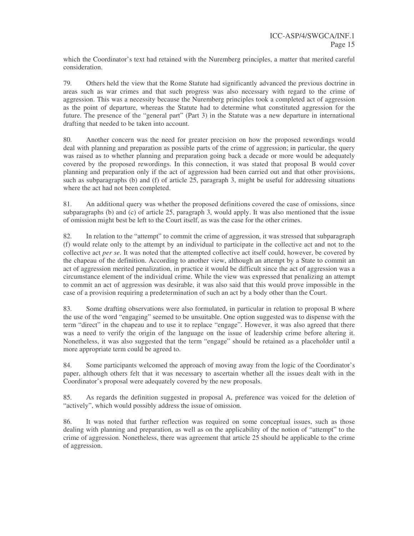which the Coordinator's text had retained with the Nuremberg principles, a matter that merited careful consideration.

79. Others held the view that the Rome Statute had significantly advanced the previous doctrine in areas such as war crimes and that such progress was also necessary with regard to the crime of aggression. This was a necessity because the Nuremberg principles took a completed act of aggression as the point of departure, whereas the Statute had to determine what constituted aggression for the future. The presence of the "general part" (Part 3) in the Statute was a new departure in international drafting that needed to be taken into account.

80. Another concern was the need for greater precision on how the proposed rewordings would deal with planning and preparation as possible parts of the crime of aggression; in particular, the query was raised as to whether planning and preparation going back a decade or more would be adequately covered by the proposed rewordings. In this connection, it was stated that proposal B would cover planning and preparation only if the act of aggression had been carried out and that other provisions, such as subparagraphs (b) and (f) of article  $25$ , paragraph 3, might be useful for addressing situations where the act had not been completed.

81. An additional query was whether the proposed definitions covered the case of omissions, since subparagraphs (b) and (c) of article 25, paragraph 3, would apply. It was also mentioned that the issue of omission might best be left to the Court itself, as was the case for the other crimes.

82. In relation to the "attempt" to commit the crime of aggression, it was stressed that subparagraph (f) would relate only to the attempt by an individual to participate in the collective act and not to the collective act *per se*. It was noted that the attempted collective act itself could, however, be covered by the chapeau of the definition. According to another view, although an attempt by a State to commit an act of aggression merited penalization, in practice it would be difficult since the act of aggression was a circumstance element of the individual crime. While the view was expressed that penalizing an attempt to commit an act of aggression was desirable, it was also said that this would prove impossible in the case of a provision requiring a predetermination of such an act by a body other than the Court.

83. Some drafting observations were also formulated, in particular in relation to proposal B where the use of the word "engaging" seemed to be unsuitable. One option suggested was to dispense with the term "direct" in the chapeau and to use it to replace "engage". However, it was also agreed that there was a need to verify the origin of the language on the issue of leadership crime before altering it. Nonetheless, it was also suggested that the term "engage" should be retained as a placeholder until a more appropriate term could be agreed to.

84. Some participants welcomed the approach of moving away from the logic of the Coordinator's paper, although others felt that it was necessary to ascertain whether all the issues dealt with in the Coordinator's proposal were adequately covered by the new proposals.

85. As regards the definition suggested in proposal A, preference was voiced for the deletion of "actively", which would possibly address the issue of omission.

86. It was noted that further reflection was required on some conceptual issues, such as those dealing with planning and preparation, as well as on the applicability of the notion of "attempt" to the crime of aggression. Nonetheless, there was agreement that article 25 should be applicable to the crime of aggression.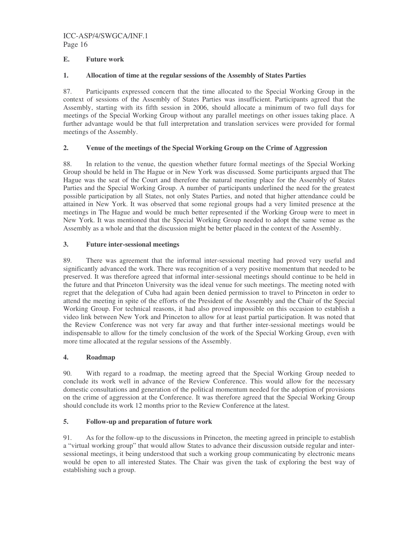# **E. Future work**

## **1. Allocation of time at the regular sessions of the Assembly of States Parties**

87. Participants expressed concern that the time allocated to the Special Working Group in the context of sessions of the Assembly of States Parties was insufficient. Participants agreed that the Assembly, starting with its fifth session in 2006, should allocate a minimum of two full days for meetings of the Special Working Group without any parallel meetings on other issues taking place. A further advantage would be that full interpretation and translation services were provided for formal meetings of the Assembly.

# **2. Venue of the meetings of the Special Working Group on the Crime of Aggression**

88. In relation to the venue, the question whether future formal meetings of the Special Working Group should be held in The Hague or in New York was discussed. Some participants argued that The Hague was the seat of the Court and therefore the natural meeting place for the Assembly of States Parties and the Special Working Group. A number of participants underlined the need for the greatest possible participation by all States, not only States Parties, and noted that higher attendance could be attained in New York. It was observed that some regional groups had a very limited presence at the meetings in The Hague and would be much better represented if the Working Group were to meet in New York. It was mentioned that the Special Working Group needed to adopt the same venue as the Assembly as a whole and that the discussion might be better placed in the context of the Assembly.

# **3. Future inter-sessional meetings**

89. There was agreement that the informal inter-sessional meeting had proved very useful and significantly advanced the work. There was recognition of a very positive momentum that needed to be preserved. It was therefore agreed that informal inter-sessional meetings should continue to be held in the future and that Princeton University was the ideal venue for such meetings. The meeting noted with regret that the delegation of Cuba had again been denied permission to travel to Princeton in order to attend the meeting in spite of the efforts of the President of the Assembly and the Chair of the Special Working Group. For technical reasons, it had also proved impossible on this occasion to establish a video link between New York and Princeton to allow for at least partial participation. It was noted that the Review Conference was not very far away and that further inter-sessional meetings would be indispensable to allow for the timely conclusion of the work of the Special Working Group, even with more time allocated at the regular sessions of the Assembly.

# **4. Roadmap**

90. With regard to a roadmap, the meeting agreed that the Special Working Group needed to conclude its work well in advance of the Review Conference. This would allow for the necessary domestic consultations and generation of the political momentum needed for the adoption of provisions on the crime of aggression at the Conference. It was therefore agreed that the Special Working Group should conclude its work 12 months prior to the Review Conference at the latest.

# **5. Follow-up and preparation of future work**

91. As for the follow-up to the discussions in Princeton, the meeting agreed in principle to establish a "virtual working group" that would allow States to advance their discussion outside regular and intersessional meetings, it being understood that such a working group communicating by electronic means would be open to all interested States. The Chair was given the task of exploring the best way of establishing such a group.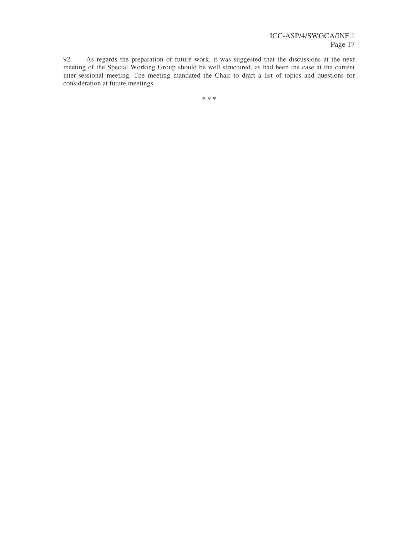92. As regards the preparation of future work, it was suggested that the discussions at the next meeting of the Special Working Group should be well structured, as had been the case at the current inter-sessional meeting. The meeting mandated the Chair to draft a list of topics and questions for consideration at future meetings.

**\* \* \***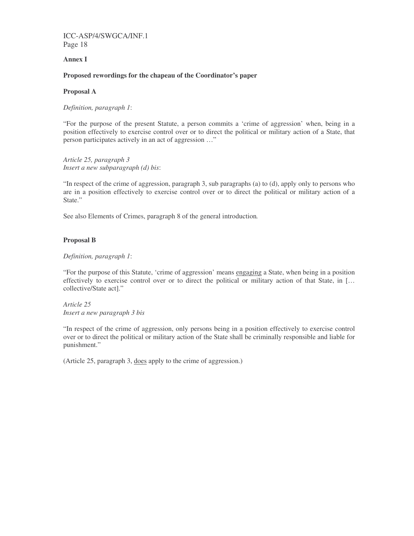**Annex I**

### **Proposed rewordings for the chapeau of the Coordinator's paper**

### **Proposal A**

*Definition, paragraph 1*:

"For the purpose of the present Statute, a person commits a 'crime of aggression' when, being in a position effectively to exercise control over or to direct the political or military action of a State, that person participates actively in an act of aggression …"

*Article 25, paragraph 3 Insert a new subparagraph (d) bis*:

"In respect of the crime of aggression, paragraph 3, sub paragraphs (a) to (d), apply only to persons who are in a position effectively to exercise control over or to direct the political or military action of a State."

See also Elements of Crimes, paragraph 8 of the general introduction*.*

### **Proposal B**

*Definition, paragraph 1*:

"For the purpose of this Statute, 'crime of aggression' means engaging a State, when being in a position effectively to exercise control over or to direct the political or military action of that State, in [… collective/State act]."

*Article 25 Insert a new paragraph 3 bis*

"In respect of the crime of aggression, only persons being in a position effectively to exercise control over or to direct the political or military action of the State shall be criminally responsible and liable for punishment."

(Article 25, paragraph 3, does apply to the crime of aggression.)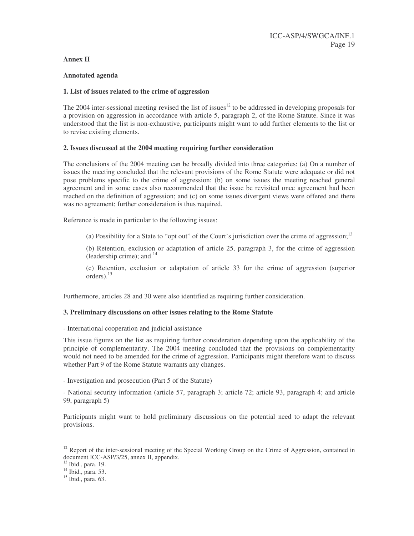### **Annex II**

### **Annotated agenda**

### **1. List of issues related to the crime of aggression**

The 2004 inter-sessional meeting revised the list of issues<sup>12</sup> to be addressed in developing proposals for a provision on aggression in accordance with article 5, paragraph 2, of the Rome Statute. Since it was understood that the list is non-exhaustive, participants might want to add further elements to the list or to revise existing elements.

### **2. Issues discussed at the 2004 meeting requiring further consideration**

The conclusions of the 2004 meeting can be broadly divided into three categories: (a) On a number of issues the meeting concluded that the relevant provisions of the Rome Statute were adequate or did not pose problems specific to the crime of aggression; (b) on some issues the meeting reached general agreement and in some cases also recommended that the issue be revisited once agreement had been reached on the definition of aggression; and (c) on some issues divergent views were offered and there was no agreement; further consideration is thus required.

Reference is made in particular to the following issues:

(a) Possibility for a State to "opt out" of the Court's jurisdiction over the crime of aggression;<sup>13</sup>

(b) Retention, exclusion or adaptation of article 25, paragraph 3, for the crime of aggression (leadership crime); and 14

(c) Retention, exclusion or adaptation of article 33 for the crime of aggression (superior orders). 15

Furthermore, articles 28 and 30 were also identified as requiring further consideration.

### **3. Preliminary discussions on other issues relating to the Rome Statute**

- International cooperation and judicial assistance

This issue figures on the list as requiring further consideration depending upon the applicability of the principle of complementarity. The 2004 meeting concluded that the provisions on complementarity would not need to be amended for the crime of aggression. Participants might therefore want to discuss whether Part 9 of the Rome Statute warrants any changes.

- Investigation and prosecution (Part 5 of the Statute)

- National security information (article 57, paragraph 3; article 72; article 93, paragraph 4; and article 99, paragraph 5)

Participants might want to hold preliminary discussions on the potential need to adapt the relevant provisions.

<sup>&</sup>lt;sup>12</sup> Report of the inter-sessional meeting of the Special Working Group on the Crime of Aggression, contained in document ICC-ASP/3/25, annex II, appendix.

<sup>&</sup>lt;sup>13</sup> Ibid., para. 19.

<sup>&</sup>lt;sup>14</sup> Ibid., para. 53.

<sup>15</sup> Ibid., para. 63.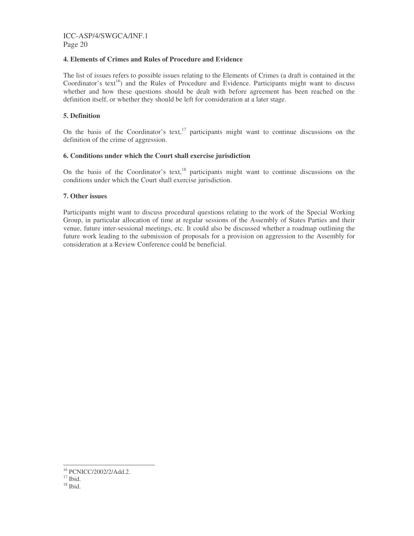### **4. Elements of Crimes and Rules of Procedure and Evidence**

The list of issues refers to possible issues relating to the Elements of Crimes (a draft is contained in the Coordinator's text<sup>16</sup>) and the Rules of Procedure and Evidence. Participants might want to discuss whether and how these questions should be dealt with before agreement has been reached on the definition itself, or whether they should be left for consideration at a later stage.

## **5. Definition**

On the basis of the Coordinator's text,  $17$  participants might want to continue discussions on the definition of the crime of aggression.

### **6. Conditions under which the Court shall exercise jurisdiction**

On the basis of the Coordinator's text,  $18$  participants might want to continue discussions on the conditions under which the Court shall exercise jurisdiction.

### **7. Other issues**

Participants might want to discuss procedural questions relating to the work of the Special Working Group, in particular allocation of time at regular sessions of the Assembly of States Parties and their venue, future inter-sessional meetings, etc. It could also be discussed whether a roadmap outlining the future work leading to the submission of proposals for a provision on aggression to the Assembly for consideration at a Review Conference could be beneficial.

<sup>16</sup> PCNICC/2002/2/Add.2.

 $17$  Ibid.

<sup>18</sup> Ibid.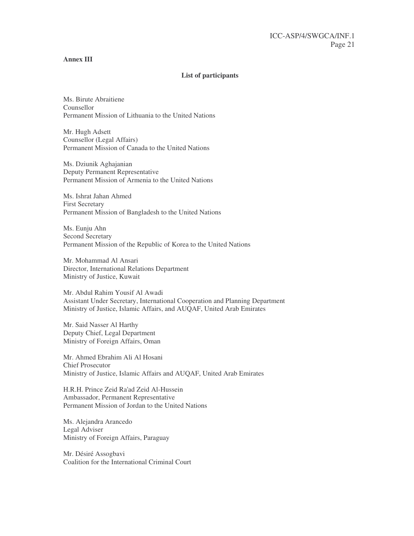### **Annex III**

### **List of participants**

Ms. Birute Abraitiene Counsellor Permanent Mission of Lithuania to the United Nations

Mr. Hugh Adsett Counsellor (Legal Affairs) Permanent Mission of Canada to the United Nations

Ms. Dziunik Aghajanian Deputy Permanent Representative Permanent Mission of Armenia to the United Nations

Ms. Ishrat Jahan Ahmed First Secretary Permanent Mission of Bangladesh to the United Nations

Ms. Eunju Ahn Second Secretary Permanent Mission of the Republic of Korea to the United Nations

Mr. Mohammad Al Ansari Director, International Relations Department Ministry of Justice, Kuwait

Mr. Abdul Rahim Yousif Al Awadi Assistant Under Secretary, International Cooperation and Planning Department Ministry of Justice, Islamic Affairs, and AUQAF, United Arab Emirates

Mr. Said Nasser Al Harthy Deputy Chief, Legal Department Ministry of Foreign Affairs, Oman

Mr. Ahmed Ebrahim Ali Al Hosani Chief Prosecutor Ministry of Justice, Islamic Affairs and AUQAF, United Arab Emirates

H.R.H. Prince Zeid Ra'ad Zeid Al-Hussein Ambassador, Permanent Representative Permanent Mission of Jordan to the United Nations

Ms. Alejandra Arancedo Legal Adviser Ministry of Foreign Affairs, Paraguay

Mr. Désiré Assogbavi Coalition for the International Criminal Court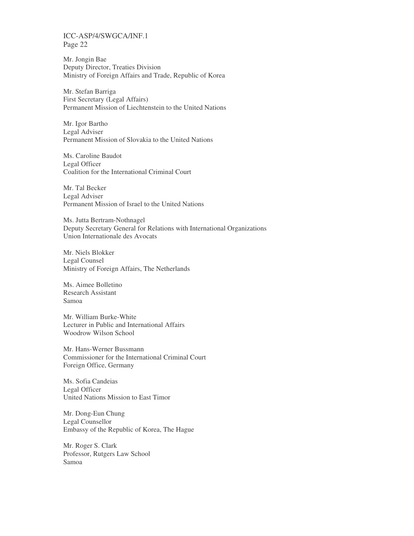Mr. Jongin Bae Deputy Director, Treaties Division Ministry of Foreign Affairs and Trade, Republic of Korea

Mr. Stefan Barriga First Secretary (Legal Affairs) Permanent Mission of Liechtenstein to the United Nations

Mr. Igor Bartho Legal Adviser Permanent Mission of Slovakia to the United Nations

Ms. Caroline Baudot Legal Officer Coalition for the International Criminal Court

Mr. Tal Becker Legal Adviser Permanent Mission of Israel to the United Nations

Ms. Jutta Bertram-Nothnagel Deputy Secretary General for Relations with International Organizations Union Internationale des Avocats

Mr. Niels Blokker Legal Counsel Ministry of Foreign Affairs, The Netherlands

Ms. Aimee Bolletino Research Assistant Samoa

Mr. William Burke-White Lecturer in Public and International Affairs Woodrow Wilson School

Mr. Hans-Werner Bussmann Commissioner for the International Criminal Court Foreign Office, Germany

Ms. Sofia Candeias Legal Officer United Nations Mission to East Timor

Mr. Dong-Eun Chung Legal Counsellor Embassy of the Republic of Korea, The Hague

Mr. Roger S. Clark Professor, Rutgers Law School Samoa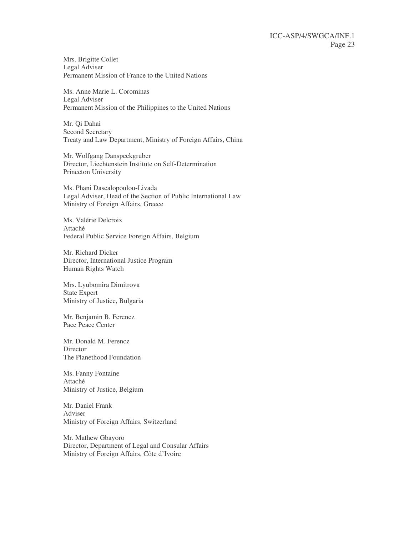Mrs. Brigitte Collet Legal Adviser Permanent Mission of France to the United Nations

Ms. Anne Marie L. Corominas Legal Adviser Permanent Mission of the Philippines to the United Nations

Mr. Qi Dahai Second Secretary Treaty and Law Department, Ministry of Foreign Affairs, China

Mr. Wolfgang Danspeckgruber Director, Liechtenstein Institute on Self-Determination Princeton University

Ms. Phani Dascalopoulou-Livada Legal Adviser, Head of the Section of Public International Law Ministry of Foreign Affairs, Greece

Ms. Valérie Delcroix Attaché Federal Public Service Foreign Affairs, Belgium

Mr. Richard Dicker Director, International Justice Program Human Rights Watch

Mrs. Lyubomira Dimitrova State Expert Ministry of Justice, Bulgaria

Mr. Benjamin B. Ferencz Pace Peace Center

Mr. Donald M. Ferencz **Director** The Planethood Foundation

Ms. Fanny Fontaine Attaché Ministry of Justice, Belgium

Mr. Daniel Frank Adviser Ministry of Foreign Affairs, Switzerland

Mr. Mathew Gbayoro Director, Department of Legal and Consular Affairs Ministry of Foreign Affairs, Côte d'Ivoire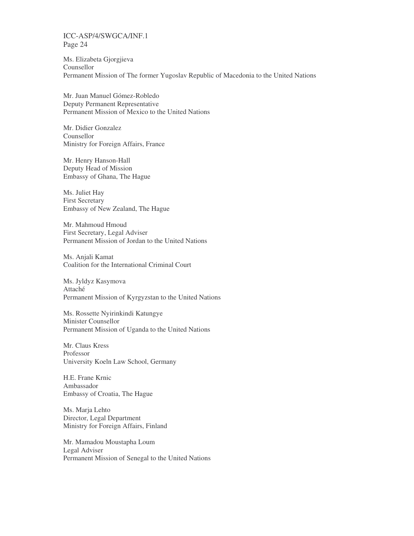Ms. Elizabeta Gjorgjieva Counsellor Permanent Mission of The former Yugoslav Republic of Macedonia to the United Nations

Mr. Juan Manuel Gómez-Robledo Deputy Permanent Representative Permanent Mission of Mexico to the United Nations

Mr. Didier Gonzalez Counsellor Ministry for Foreign Affairs, France

Mr. Henry Hanson-Hall Deputy Head of Mission Embassy of Ghana, The Hague

Ms. Juliet Hay First Secretary Embassy of New Zealand, The Hague

Mr. Mahmoud Hmoud First Secretary, Legal Adviser Permanent Mission of Jordan to the United Nations

Ms. Anjali Kamat Coalition for the International Criminal Court

Ms. Jyldyz Kasymova Attaché Permanent Mission of Kyrgyzstan to the United Nations

Ms. Rossette Nyirinkindi Katungye Minister Counsellor Permanent Mission of Uganda to the United Nations

Mr. Claus Kress Professor University Koeln Law School, Germany

H.E. Frane Krnic Ambassador Embassy of Croatia, The Hague

Ms. Marja Lehto Director, Legal Department Ministry for Foreign Affairs, Finland

Mr. Mamadou Moustapha Loum Legal Adviser Permanent Mission of Senegal to the United Nations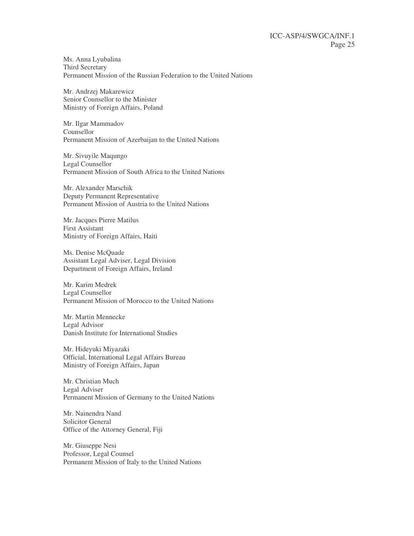Ms. Anna Lyubalina Third Secretary Permanent Mission of the Russian Federation to the United Nations

Mr. Andrzej Makarewicz Senior Counsellor to the Minister Ministry of Foreign Affairs, Poland

Mr. Ilgar Mammadov Counsellor Permanent Mission of Azerbaijan to the United Nations

Mr. Sivuyile Maqungo Legal Counsellor Permanent Mission of South Africa to the United Nations

Mr. Alexander Marschik Deputy Permanent Representative Permanent Mission of Austria to the United Nations

Mr. Jacques Pierre Matilus First Assistant Ministry of Foreign Affairs, Haiti

Ms. Denise McQuade Assistant Legal Adviser, Legal Division Department of Foreign Affairs, Ireland

Mr. Karim Medrek Legal Counsellor Permanent Mission of Morocco to the United Nations

Mr. Martin Mennecke Legal Advisor Danish Institute for International Studies

Mr. Hideyuki Miyazaki Official, International Legal Affairs Bureau Ministry of Foreign Affairs, Japan

Mr. Christian Much Legal Adviser Permanent Mission of Germany to the United Nations

Mr. Nainendra Nand Solicitor General Office of the Attorney General, Fiji

Mr. Giuseppe Nesi Professor, Legal Counsel Permanent Mission of Italy to the United Nations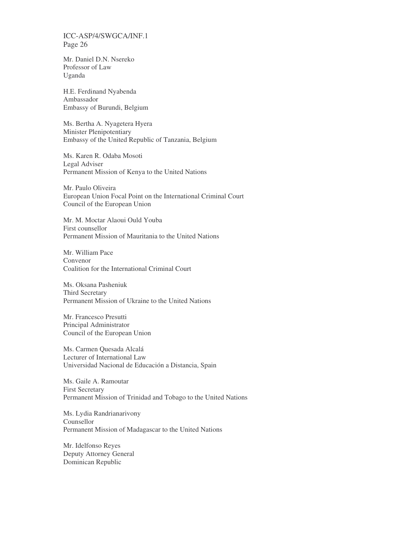Mr. Daniel D.N. Nsereko Professor of Law Uganda

H.E. Ferdinand Nyabenda Ambassador Embassy of Burundi, Belgium

Ms. Bertha A. Nyagetera Hyera Minister Plenipotentiary Embassy of the United Republic of Tanzania, Belgium

Ms. Karen R. Odaba Mosoti Legal Adviser Permanent Mission of Kenya to the United Nations

Mr. Paulo Oliveira European Union Focal Point on the International Criminal Court Council of the European Union

Mr. M. Moctar Alaoui Ould Youba First counsellor Permanent Mission of Mauritania to the United Nations

Mr. William Pace Convenor Coalition for the International Criminal Court

Ms. Oksana Pasheniuk Third Secretary Permanent Mission of Ukraine to the United Nations

Mr. Francesco Presutti Principal Administrator Council of the European Union

Ms. Carmen Quesada Alcalá Lecturer of International Law Universidad Nacional de Educación a Distancia, Spain

Ms. Gaile A. Ramoutar First Secretary Permanent Mission of Trinidad and Tobago to the United Nations

Ms. Lydia Randrianarivony Counsellor Permanent Mission of Madagascar to the United Nations

Mr. Idelfonso Reyes Deputy Attorney General Dominican Republic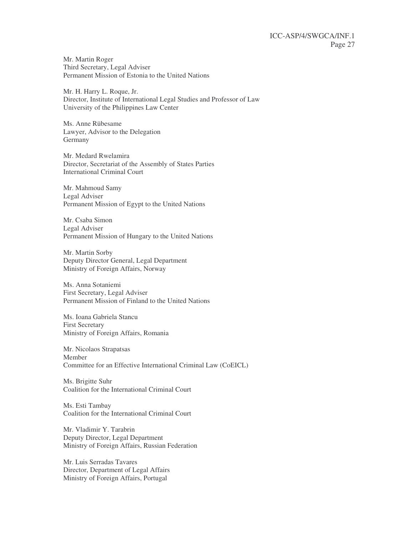Mr. Martin Roger Third Secretary, Legal Adviser Permanent Mission of Estonia to the United Nations

Mr. H. Harry L. Roque, Jr. Director, Institute of International Legal Studies and Professor of Law University of the Philippines Law Center

Ms. Anne Rübesame Lawyer, Advisor to the Delegation Germany

Mr. Medard Rwelamira Director, Secretariat of the Assembly of States Parties International Criminal Court

Mr. Mahmoud Samy Legal Adviser Permanent Mission of Egypt to the United Nations

Mr. Csaba Simon Legal Adviser Permanent Mission of Hungary to the United Nations

Mr. Martin Sorby Deputy Director General, Legal Department Ministry of Foreign Affairs, Norway

Ms. Anna Sotaniemi First Secretary, Legal Adviser Permanent Mission of Finland to the United Nations

Ms. Ioana Gabriela Stancu First Secretary Ministry of Foreign Affairs, Romania

Mr. Nicolaos Strapatsas Member Committee for an Effective International Criminal Law (CoEICL)

Ms. Brigitte Suhr Coalition for the International Criminal Court

Ms. Esti Tambay Coalition for the International Criminal Court

Mr. Vladimir Y. Tarabrin Deputy Director, Legal Department Ministry of Foreign Affairs, Russian Federation

Mr. Luis Serradas Tavares Director, Department of Legal Affairs Ministry of Foreign Affairs, Portugal